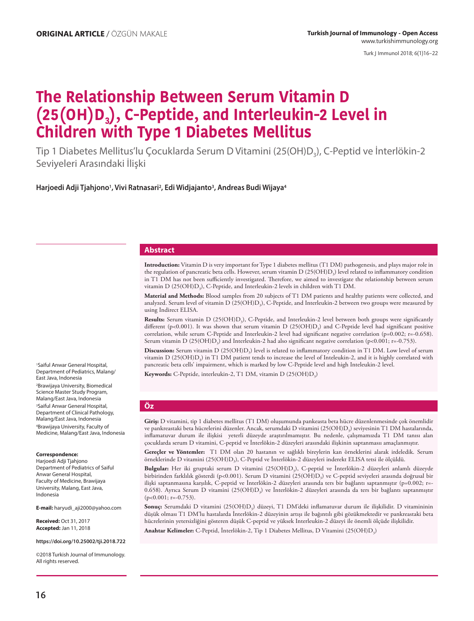Turk J Immunol 2018; 6(1)16−22

# **The Relationship Between Serum Vitamin D (25(OH)D3), C-Peptide, and Interleukin-2 Level in Children with Type 1 Diabetes Mellitus**

Tip 1 Diabetes Mellitus'lu Çocuklarda Serum D Vitamini (25(OH)D3), C-Peptid ve İnterlökin-2 Seviyeleri Arasındaki İlişki

**Harjoedi Adji Tjahjono1, Vivi Ratnasari2, Edi Widjajanto3, Andreas Budi Wijaya4**

#### **Abstract**

**Introduction:** Vitamin D is very important for Type 1 diabetes mellitus (T1 DM) pathogenesis, and plays major role in the regulation of pancreatic beta cells. However, serum vitamin  $D(25(OH)D<sub>3</sub>)$  level related to inflammatory condition in T1 DM has not been sufficiently investigated. Therefore, we aimed to investigate the relationship between serum vitamin D (25(OH)D<sub>3</sub>), C-Peptide, and Interleukin-2 levels in children with T1 DM.

**Material and Methods:** Blood samples from 20 subjects of T1 DM patients and healthy patients were collected, and analyzed. Serum level of vitamin D (25(OH)D<sub>3</sub>), C-Peptide, and Interleukin-2 between two groups were measured by using Indirect ELISA.

Results: Serum vitamin D (25(OH)D<sub>3</sub>), C-Peptide, and Interleukin-2 level between both groups were significantly different (p<0.001). It was shown that serum vitamin D (25(OH)D<sub>3</sub>) and C-Peptide level had significant positive correlation, while serum C-Peptide and Interleukin-2 level had significant negative correlation (p=0.002; r=-0.658). Serum vitamin D (25(OH)D<sub>3</sub>) and Interleukin-2 had also significant negative correlation (p<0.001; r=-0.753).

**Discussion:** Serum vitamin D (25(OH)D3) level is related to inflammatory condition in T1 DM. Low level of serum vitamin D (25(OH)D3) in T1 DM patient tends to increase the level of Inteleukin-2, and it is highly correlated with pancreatic beta cells' impairment, which is marked by low C-Peptide level and high Inteleukin-2 level.

**Keywords:** C-Peptide, interleukin-2, T1 DM, vitamin D (25(OH)D<sub>3</sub>)

#### **Öz**

**Giriş:** D vitamini, tip 1 diabetes mellitus (T1 DM) oluşumunda pankeasta beta hücre düzenlenmesinde çok önemlidir ve pankreastaki beta hücrelerini düzenler. Ancak, serumdaki D vitamini (25(OH)D<sub>3</sub>) seviyesinin T1 DM hastalarında, inflamatuvar durum ile ilişkisi yeterli düzeyde araştırılmamıştır. Bu nedenle, çalışmamızda T1 DM tanısı alan çocuklarda serum D vitamini, C-peptid ve İnterlökin-2 düzeyleri arasındaki ilişkinin saptanmasıı amaçlanmıştır.

**Gereçler ve Yöntemler:** T1 DM olan 20 hastanın ve sağlıklı bireylerin kan örneklerini alarak irdeledik. Serum örneklerinde D vitamini (25(OH)D3), C-Peptid ve İnterlökin-2 düzeyleri inderekt ELISA tetsi ile ölçüldü.

**Bulgular:** Her iki gruptaki serum D vitamini (25(OH)D3), C-peptid ve İnterlökin-2 düzeyleri anlamlı düzeyde birbirinden farklılık gösterdi (p<0.001). Serum D vitamini (25(OH)D<sub>3</sub>) ve C-peptid seviyeleri arasında doğrusal bir ilişki saptanmasına karşılık, C-peptid ve İnterlökin-2 düzeyleri arasında ters bir bağlantı saptanmıştır (p=0.002; r=-0.658). Ayrıca Serum D vitamini (25(OH)D<sub>3</sub>) ve İnterlökin-2 düzeyleri arasında da ters bir bağlantı saptanmıştır  $(p<0.001; r=-0.753)$ .

**Sonuç:** Serumdaki D vitamini (25(OH)D3) düzeyi, T1 DM'deki inflamatuvar durum ile ilişkilidir. D vitamininin düşük olması T1 DM'lu hastalarda İnterlökin-2 düzeyinin artışı ile bağıntılı gibi gözükmektedir ve pankreastaki beta hücrelerinin yetersizliğini gösteren düşük C-peptid ve yüksek Interleukin-2 düzeyi ile önemli ölçüde ilişkilidir.

**Anahtar Kelimeler:** C-Peptid, İnterlökin-2, Tip 1 Diabetes Mellitus, D Vitamini (25(OH)D3)

1Saiful Anwar General Hospital, Department of Pediatrics, Malang/ East Java, Indonesia 2Brawijaya University, Biomedical Science Master Study Program, Malang/East Java, Indonesia 3Saiful Anwar General Hospital, Department of Clinical Pathology, Malang/East Java, Indonesia 4Brawijaya University, Faculty of Medicine, Malang/East Java, Indonesia

#### **Correspondence:**

Harjoedi Adji Tjahjono Department of Pediatrics of Saiful Anwar General Hospital, Faculty of Medicine, Brawijaya University, Malang, East Java, Indonesia

**E-mail:** haryudi\_aji2000@yahoo.com

**Received:** Oct 31, 2017 **Accepted:** Jan 11, 2018

**https://doi.org/10.25002/tji.2018.722**

©2018 Turkish Journal of Immunology. All rights reserved.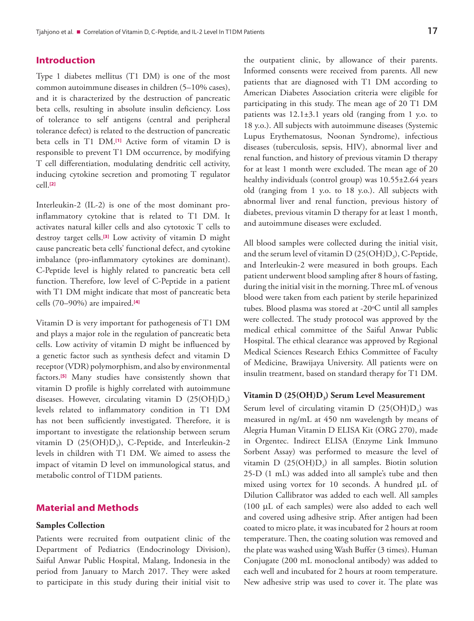## **Introduction**

Type 1 diabetes mellitus (T1 DM) is one of the most common autoimmune diseases in children (5–10% cases), and it is characterized by the destruction of pancreatic beta cells, resulting in absolute insulin deficiency. Loss of tolerance to self antigens (central and peripheral tolerance defect) is related to the destruction of pancreatic beta cells in T1 DM.**[\[1\]](#page-6-0)** Active form of vitamin D is responsible to prevent T1 DM occurrence, by modifying T cell differentiation, modulating dendritic cell activity, inducing cytokine secretion and promoting T regulator cell.**[\[2\]](#page-6-0)**

Interleukin-2 (IL-2) is one of the most dominant proinflammatory cytokine that is related to T1 DM. It activates natural killer cells and also cytotoxic T cells to destroy target cells.**[\[3\]](#page-6-0)** Low activity of vitamin D might cause pancreatic beta cells' functional defect, and cytokine imbalance (pro-inflammatory cytokines are dominant). C-Peptide level is highly related to pancreatic beta cell function. Therefore, low level of C-Peptide in a patient with T1 DM might indicate that most of pancreatic beta cells (70–90%) are impaired.**[\[4\]](#page-6-0)**

Vitamin D is very important for pathogenesis of T1 DM and plays a major role in the regulation of pancreatic beta cells. Low activity of vitamin D might be influenced by a genetic factor such as synthesis defect and vitamin D receptor (VDR) polymorphism, and also by environmental factors.**[\[5\]](#page-6-0)** Many studies have consistently shown that vitamin D profile is highly correlated with autoimmune diseases. However, circulating vitamin  $D(25(OH)D<sub>3</sub>)$ levels related to inflammatory condition in T1 DM has not been sufficiently investigated. Therefore, it is important to investigate the relationship between serum vitamin D  $(25(OH)D<sub>3</sub>)$ , C-Peptide, and Interleukin-2 levels in children with T1 DM. We aimed to assess the impact of vitamin D level on immunological status, and metabolic control of T1DM patients.

## **Material and Methods**

#### **Samples Collection**

Patients were recruited from outpatient clinic of the Department of Pediatrics (Endocrinology Division), Saiful Anwar Public Hospital, Malang, Indonesia in the period from January to March 2017. They were asked to participate in this study during their initial visit to

the outpatient clinic, by allowance of their parents. Informed consents were received from parents. All new patients that are diagnosed with T1 DM according to American Diabetes Association criteria were eligible for participating in this study. The mean age of 20 T1 DM patients was 12.1±3.1 years old (ranging from 1 y.o. to 18 y.o.). All subjects with autoimmune diseases (Systemic Lupus Erythematosus, Noonan Syndrome), infectious diseases (tuberculosis, sepsis, HIV), abnormal liver and renal function, and history of previous vitamin D therapy for at least 1 month were excluded. The mean age of 20 healthy individuals (control group) was 10.55±2.64 years old (ranging from 1 y.o. to 18 y.o.). All subjects with abnormal liver and renal function, previous history of diabetes, previous vitamin D therapy for at least 1 month, and autoimmune diseases were excluded.

All blood samples were collected during the initial visit, and the serum level of vitamin  $D(25(OH)D<sub>3</sub>)$ , C-Peptide, and Interleukin-2 were measured in both groups. Each patient underwent blood sampling after 8 hours of fasting, during the initial visit in the morning. Three mL of venous blood were taken from each patient by sterile heparinized tubes. Blood plasma was stored at -20°C until all samples were collected. The study protocol was approved by the medical ethical committee of the Saiful Anwar Public Hospital. The ethical clearance was approved by Regional Medical Sciences Research Ethics Committee of Faculty of Medicine, Brawijaya University. All patients were on insulin treatment, based on standard therapy for T1 DM.

#### Vitamin D (25(OH)D<sub>3</sub>) Serum Level Measurement

Serum level of circulating vitamin  $D(25(OH)D<sub>3</sub>)$  was measured in ng/mL at 450 nm wavelength by means of Alegria Human Vitamin D ELISA Kit (ORG 270), made in Orgentec. Indirect ELISA (Enzyme Link Immuno Sorbent Assay) was performed to measure the level of vitamin D  $(25(OH)D<sub>3</sub>)$  in all samples. Biotin solution 25-D (1 mL) was added into all sample's tube and then mixed using vortex for 10 seconds. A hundred μL of Dilution Callibrator was added to each well. All samples (100 μL of each samples) were also added to each well and covered using adhesive strip. After antigen had been coated to micro plate, it was incubated for 2 hours at room temperature. Then, the coating solution was removed and the plate was washed using Wash Buffer (3 times). Human Conjugate (200 mL monoclonal antibody) was added to each well and incubated for 2 hours at room temperature. New adhesive strip was used to cover it. The plate was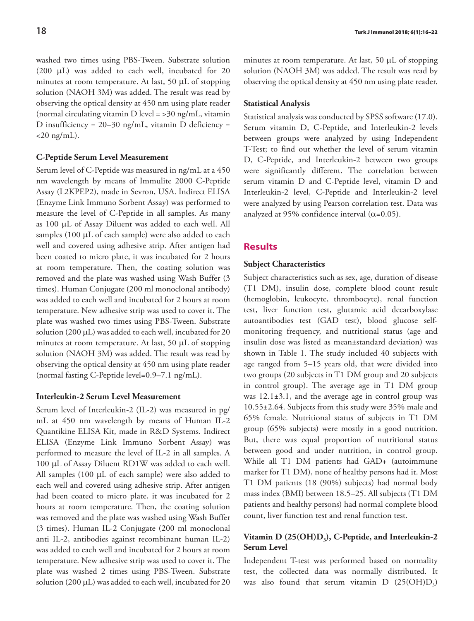washed two times using PBS-Tween. Substrate solution (200 μL) was added to each well, incubated for 20 minutes at room temperature. At last, 50 μL of stopping solution (NAOH 3M) was added. The result was read by observing the optical density at 450 nm using plate reader (normal circulating vitamin D level  $=$  >30 ng/mL, vitamin D insufficiency =  $20-30$  ng/mL, vitamin D deficiency =  $<$ 20 ng/mL).

### **C-Peptide Serum Level Measurement**

Serum level of C-Peptide was measured in ng/mL at a 450 nm wavelength by means of Immulite 2000 C-Peptide Assay (L2KPEP2), made in Sevron, USA. Indirect ELISA (Enzyme Link Immuno Sorbent Assay) was performed to measure the level of C-Peptide in all samples. As many as 100 μL of Assay Diluent was added to each well. All samples (100 μL of each sample) were also added to each well and covered using adhesive strip. After antigen had been coated to micro plate, it was incubated for 2 hours at room temperature. Then, the coating solution was removed and the plate was washed using Wash Buffer (3 times). Human Conjugate (200 ml monoclonal antibody) was added to each well and incubated for 2 hours at room temperature. New adhesive strip was used to cover it. The plate was washed two times using PBS-Tween. Substrate solution (200 μL) was added to each well, incubated for 20 minutes at room temperature. At last, 50 μL of stopping solution (NAOH 3M) was added. The result was read by observing the optical density at 450 nm using plate reader (normal fasting C-Peptide level=0.9–7.1 ng/mL).

## **Interleukin-2 Serum Level Measurement**

Serum level of Interleukin-2 (IL-2) was measured in pg/ mL at 450 nm wavelength by means of Human IL-2 Quantikine ELISA Kit, made in R&D Systems. Indirect ELISA (Enzyme Link Immuno Sorbent Assay) was performed to measure the level of IL-2 in all samples. A 100 μL of Assay Diluent RD1W was added to each well. All samples (100 μL of each sample) were also added to each well and covered using adhesive strip. After antigen had been coated to micro plate, it was incubated for 2 hours at room temperature. Then, the coating solution was removed and the plate was washed using Wash Buffer (3 times). Human IL-2 Conjugate (200 ml monoclonal anti IL-2, antibodies against recombinant human IL-2) was added to each well and incubated for 2 hours at room temperature. New adhesive strip was used to cover it. The plate was washed 2 times using PBS-Tween. Substrate solution (200 μL) was added to each well, incubated for 20

minutes at room temperature. At last, 50 μL of stopping solution (NAOH 3M) was added. The result was read by observing the optical density at 450 nm using plate reader.

#### **Statistical Analysis**

Statistical analysis was conducted by SPSS software (17.0). Serum vitamin D, C-Peptide, and Interleukin-2 levels between groups were analyzed by using Independent T-Test; to find out whether the level of serum vitamin D, C-Peptide, and Interleukin-2 between two groups were significantly different. The correlation between serum vitamin D and C-Peptide level, vitamin D and Interleukin-2 level, C-Peptide and Interleukin-2 level were analyzed by using Pearson correlation test. Data was analyzed at 95% confidence interval ( $\alpha$ =0.05).

#### **Results**

#### **Subject Characteristics**

Subject characteristics such as sex, age, duration of disease (T1 DM), insulin dose, complete blood count result (hemoglobin, leukocyte, thrombocyte), renal function test, liver function test, glutamic acid decarboxylase autoantibodies test (GAD test), blood glucose selfmonitoring frequency, and nutritional status (age and insulin dose was listed as mean±standard deviation) was shown in Table 1. The study included 40 subjects with age ranged from 5–15 years old, that were divided into two groups (20 subjects in T1 DM group and 20 subjects in control group). The average age in T1 DM group was 12.1±3.1, and the average age in control group was 10.55±2.64. Subjects from this study were 35% male and 65% female. Nutritional status of subjects in T1 DM group (65% subjects) were mostly in a good nutrition. But, there was equal proportion of nutritional status between good and under nutrition, in control group. While all T1 DM patients had GAD+ (autoimmune marker for T1 DM), none of healthy persons had it. Most T1 DM patients (18 (90%) subjects) had normal body mass index (BMI) between 18.5–25. All subjects (T1 DM patients and healthy persons) had normal complete blood count, liver function test and renal function test.

## Vitamin D (25(OH)D<sub>3</sub>), C-Peptide, and Interleukin-2 **Serum Level**

Independent T-test was performed based on normality test, the collected data was normally distributed. It was also found that serum vitamin  $D$   $(25(OH)D<sub>3</sub>)$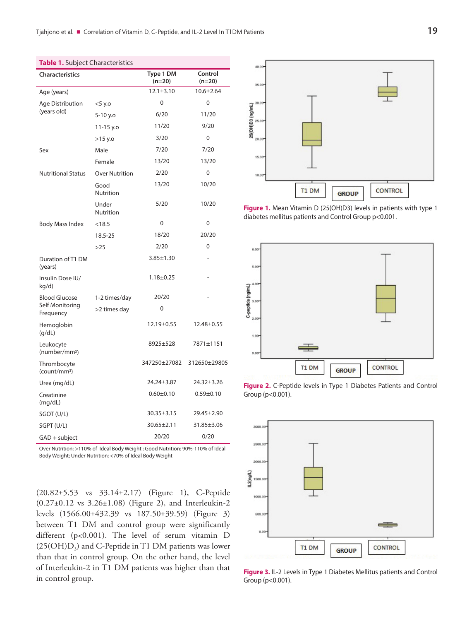| <b>Characteristics</b>                               |                       | Type 1 DM<br>$(n=20)$ | Control<br>$(n=20)$ |
|------------------------------------------------------|-----------------------|-----------------------|---------------------|
| Age (years)                                          |                       | $12.1 \pm 3.10$       | $10.6 + 2.64$       |
| Age Distribution<br>(years old)                      | $<$ 5 y.o             | 0                     | 0                   |
|                                                      | 5-10 y.o              | 6/20                  | 11/20               |
|                                                      | 11-15 y.o             | 11/20                 | 9/20                |
|                                                      | >15 y.o               | 3/20                  | 0                   |
| Sex                                                  | Male                  | 7/20                  | 7/20                |
|                                                      | Female                | 13/20                 | 13/20               |
| <b>Nutritional Status</b>                            | <b>Over Nutrition</b> | 2/20                  | 0                   |
|                                                      | Good<br>Nutrition     | 13/20                 | 10/20               |
|                                                      | Under<br>Nutrition    | 5/20                  | 10/20               |
| <b>Body Mass Index</b>                               | < 18.5                | 0                     | 0                   |
|                                                      | 18.5-25               | 18/20                 | 20/20               |
|                                                      | >25                   | 2/20                  | 0                   |
| Duration of T1 DM<br>(years)                         |                       | $3.85 \pm 1.30$       |                     |
| Insulin Dose IU/<br>kg/d)                            |                       | $1.18 + 0.25$         |                     |
| <b>Blood Glucose</b><br>Self Monitoring<br>Frequency | 1-2 times/day         | 20/20                 |                     |
|                                                      | >2 times day          | 0                     |                     |
| Hemoglobin<br>(g/dL)                                 |                       | 12.19±0.55            | 12.48±0.55          |
| Leukocyte<br>(number/mm <sup>3</sup> )               |                       | 8925±528              | 7871±1151           |
| Thrombocyte<br>(count/mm <sup>3</sup> )              |                       | 347250±27082          | 312650±29805        |
| Urea (mg/dL)                                         |                       | 24.24±3.87            | 24.32±3.26          |
| Creatinine<br>(mq/dL)                                |                       | $0.60 \pm 0.10$       | $0.59 \pm 0.10$     |
| SGOT (U/L)                                           |                       | $30.35 \pm 3.15$      | 29.45±2.90          |
| SGPT (U/L)                                           |                       | $30.65 \pm 2.11$      | 31.85±3.06          |
| GAD + subject                                        |                       | 20/20                 | 0/20                |

**Table 1.** Subject Characteristics

Over Nutrition: >110% of Ideal Body Weight ; Good Nutrition: 90%-110% of Ideal Body Weight; Under Nutrition: <70% of Ideal Body Weight

(20.82±5.53 vs 33.14±2.17) (Figure 1), C-Peptide (0.27±0.12 vs 3.26±1.08) (Figure 2), and Interleukin-2 levels (1566.00±432.39 vs 187.50±39.59) (Figure 3) between T1 DM and control group were significantly different (p<0.001). The level of serum vitamin D  $(25(OH)D<sub>3</sub>)$  and C-Peptide in T1 DM patients was lower than that in control group. On the other hand, the level of Interleukin-2 in T1 DM patients was higher than that in control group.



**Figure 1.** Mean Vitamin D (25(OH)D3) levels in patients with type 1 diabetes mellitus patients and Control Group p<0.001.







**Figure 3.** IL-2 Levels in Type 1 Diabetes Mellitus patients and Control Group (p<0.001).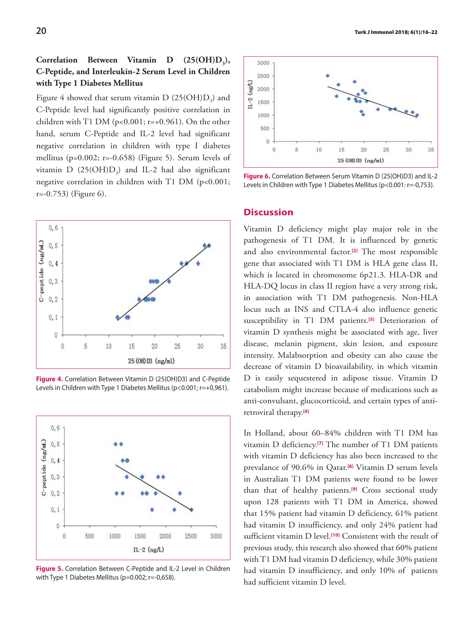## Correlation Between Vitamin D (25(OH)D<sub>3</sub>), **C-Peptide, and Interleukin-2 Serum Level in Children with Type 1 Diabetes Mellitus**

Figure 4 showed that serum vitamin  $D(25(OH)D<sub>s</sub>)$  and C-Peptide level had significantly positive correlation in children with T1 DM ( $p<0.001$ ;  $r=+0.961$ ). On the other hand, serum C-Peptide and IL-2 level had significant negative correlation in children with type I diabetes mellitus (p= $0.002$ ; r= $-0.658$ ) (Figure 5). Serum levels of vitamin  $D(25(OH)D<sub>3</sub>)$  and IL-2 had also significant negative correlation in children with T1 DM (p<0.001; r=-0.753) (Figure 6).



**Figure 4.** Correlation Between Vitamin D (25(OH)D3) and C-Peptide Levels in Children with Type 1 Diabetes Mellitus (p<0.001; r=+0,961).



**Figure 5.** Correlation Between C-Peptide and IL-2 Level in Children with Type 1 Diabetes Mellitus (p=0.002; r=-0,658).



**Figure 6.** Correlation Between Serum Vitamin D (25(OH)D3) and IL-2 Levels in Children with Type 1 Diabetes Mellitus (p<0.001: r=-0,753).

## **Discussion**

Vitamin D deficiency might play major role in the pathogenesis of T1 DM. It is influenced by genetic and also environmental factor.**[\[2\]](#page-6-0)** The most responsible gene that associated with T1 DM is HLA gene class II, which is located in chromosome 6p21.3. HLA-DR and HLA-DQ locus in class II region have a very strong risk, in association with T1 DM pathogenesis. Non-HLA locus such as INS and CTLA-4 also influence genetic susceptibility in T1 DM patients.**[\[5\]](#page-6-0)** Deterioration of vitamin D synthesis might be associated with age, liver disease, melanin pigment, skin lesion, and exposure intensity. Malabsorption and obesity can also cause the decrease of vitamin D bioavailability, in which vitamin D is easily sequestered in adipose tissue. Vitamin D catabolism might increase because of medications such as anti-convulsant, glucocorticoid, and certain types of antiretroviral therapy.**[\[6\]](#page-6-0)**

In Holland, about 60–84% children with T1 DM has vitamin D deficiency.**[\[7\]](#page-6-0)** The number of T1 DM patients with vitamin D deficiency has also been increased to the prevalance of 90.6% in Qatar.**[\[8\]](#page-6-0)** Vitamin D serum levels in Australian T1 DM patients were found to be lower than that of healthy patients.**[\[9\]](#page-6-0)** Cross sectional study upon 128 patients with T1 DM in America, showed that 15% patient had vitamin D deficiency, 61% patient had vitamin D insufficiency, and only 24% patient had sufficient vitamin D level.**[\[10\]](#page-6-0)** Consistent with the result of previous study, this research also showed that 60% patient with T1 DM had vitamin D deficiency, while 30% patient had vitamin D insufficiency, and only 10% of patients had sufficient vitamin D level.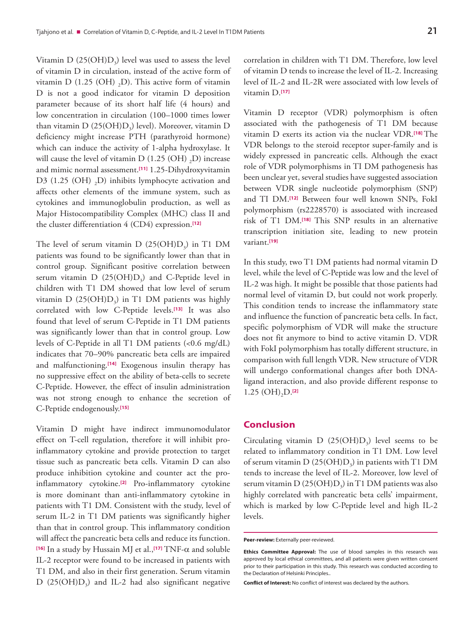Vitamin  $D(25(OH)D<sub>3</sub>)$  level was used to assess the level of vitamin D in circulation, instead of the active form of vitamin D  $(1.25 \text{ (OH)} , D)$ . This active form of vitamin D is not a good indicator for vitamin D deposition parameter because of its short half life (4 hours) and low concentration in circulation (100–1000 times lower than vitamin  $D(25(OH)D<sub>2</sub>)$  level). Moreover, vitamin D deficiency might increase PTH (parathyroid hormone) which can induce the activity of 1-alpha hydroxylase. It will cause the level of vitamin D  $(1.25 \text{ (OH)}, D)$  increase and mimic normal assessment.**[\[11\]](#page-6-0)** 1.25-Dihydroxyvitamin D3 (1.25 (OH)  $<sub>2</sub>D$ ) inhibits lymphocyte activation and</sub> affects other elements of the immune system, such as cytokines and immunoglobulin production, as well as Major Histocompatibility Complex (MHC) class II and the cluster differentiation 4 (CD4) expression.**[\[12\]](#page-6-0)**

The level of serum vitamin D  $(25(OH)D<sub>3</sub>)$  in T1 DM patients was found to be significantly lower than that in control group. Significant positive correlation between serum vitamin  $D(25(OH)D<sub>3</sub>)$  and C-Peptide level in children with T1 DM showed that low level of serum vitamin  $D(25(OH)D<sub>3</sub>)$  in T1 DM patients was highly correlated with low C-Peptide levels.**[\[13\]](#page-6-0)** It was also found that level of serum C-Peptide in T1 DM patients was significantly lower than that in control group. Low levels of C-Peptide in all T1 DM patients (<0.6 mg/dL) indicates that 70–90% pancreatic beta cells are impaired and malfunctioning.**[\[14\]](#page-6-0)** Exogenous insulin therapy has no suppressive effect on the ability of beta-cells to secrete C-Peptide. However, the effect of insulin administration was not strong enough to enhance the secretion of C-Peptide endogenously.**[\[15\]](#page-6-0)**

Vitamin D might have indirect immunomodulator effect on T-cell regulation, therefore it will inhibit proinflammatory cytokine and provide protection to target tissue such as pancreatic beta cells. Vitamin D can also produce inhibition cytokine and counter act the proinflammatory cytokine.**[\[2\]](#page-6-0)** Pro-inflammatory cytokine is more dominant than anti-inflammatory cytokine in patients with T1 DM. Consistent with the study, level of serum IL-2 in T1 DM patients was significantly higher than that in control group. This inflammatory condition will affect the pancreatic beta cells and reduce its function. **[\[16\]](#page-6-0)** In a study by Hussain MJ et al.,**[\[17\]](#page-6-0)** TNF-α and soluble IL-2 receptor were found to be increased in patients with T1 DM, and also in their first generation. Serum vitamin  $D$  (25(OH) $D_3$ ) and IL-2 had also significant negative

correlation in children with T1 DM. Therefore, low level of vitamin D tends to increase the level of IL-2. Increasing level of IL-2 and IL-2R were associated with low levels of vitamin D.**[\[17\]](#page-6-0)**

Vitamin D receptor (VDR) polymorphism is often associated with the pathogenesis of T1 DM because vitamin D exerts its action via the nuclear VDR.**[\[18\]](#page-6-0)** The VDR belongs to the steroid receptor super-family and is widely expressed in pancreatic cells. Although the exact role of VDR polymorphisms in TI DM pathogenesis has been unclear yet, several studies have suggested association between VDR single nucleotide polymorphism (SNP) and TI DM.**[\[12\]](#page-6-0)** Between four well known SNPs, FokI polymorphism (rs2228570) is associated with increased risk of T1 DM.**[\[18\]](#page-6-0)** This SNP results in an alternative transcription initiation site, leading to new protein variant.**[\[19\]](#page-6-0)**

In this study, two T1 DM patients had normal vitamin D level, while the level of C-Peptide was low and the level of IL-2 was high. It might be possible that those patients had normal level of vitamin D, but could not work properly. This condition tends to increase the inflammatory state and influence the function of pancreatic beta cells. In fact, specific polymorphism of VDR will make the structure does not fit anymore to bind to active vitamin D. VDR with FokI polymorphism has totally different structure, in comparison with full length VDR. New structure of VDR will undergo conformational changes after both DNAligand interaction, and also provide different response to  $1.25$  (OH)<sub>2</sub>D.<sup>[\[2\]](#page-6-0)</sup>

## **Conclusion**

Circulating vitamin  $D(25(OH)D<sub>3</sub>)$  level seems to be related to inflammatory condition in T1 DM. Low level of serum vitamin  $D(25(OH)D<sub>3</sub>)$  in patients with T1 DM tends to increase the level of IL-2. Moreover, low level of serum vitamin D  $(25(OH)D<sub>3</sub>)$  in T1 DM patients was also highly correlated with pancreatic beta cells' impairment, which is marked by low C-Peptide level and high IL-2 levels.

**Conflict of Interest:** No conflict of interest was declared by the authors.

**Peer-review:** Externally peer-reviewed.

**Ethics Committee Approval:** The use of blood samples in this research was approved by local ethical committees, and all patients were given written consent prior to their participation in this study. This research was conducted according to the Declaration of Helsinki Principles..